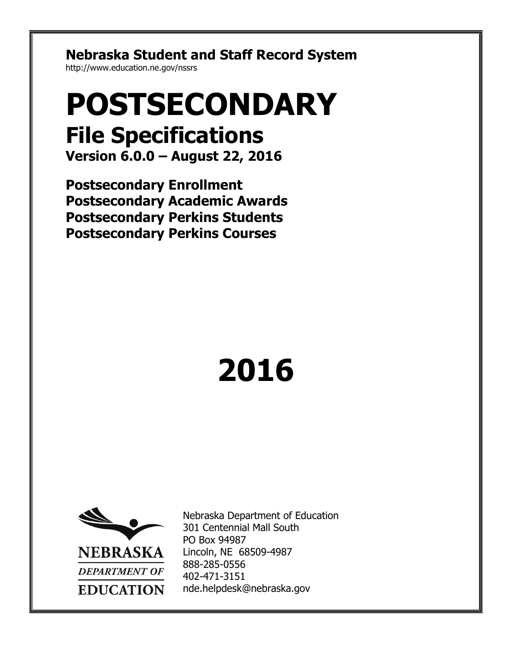**Nebraska Student and Staff Record System**

<http://www.education.ne.gov/nssrs>

# **POSTSECONDARY File Specifications Version 6.0.0 – August 22, 2016**

**Postsecondary Enrollment Postsecondary Academic Awards Postsecondary Perkins Students Postsecondary Perkins Courses**

# **2016**



Nebraska Department of Education 301 Centennial Mall South PO Box 94987 Lincoln, NE 68509-4987 888-285-0556 402-471-3151 [nde.helpdesk@nebraska.gov](mailto:nde.helpdesk@nebraska.gov)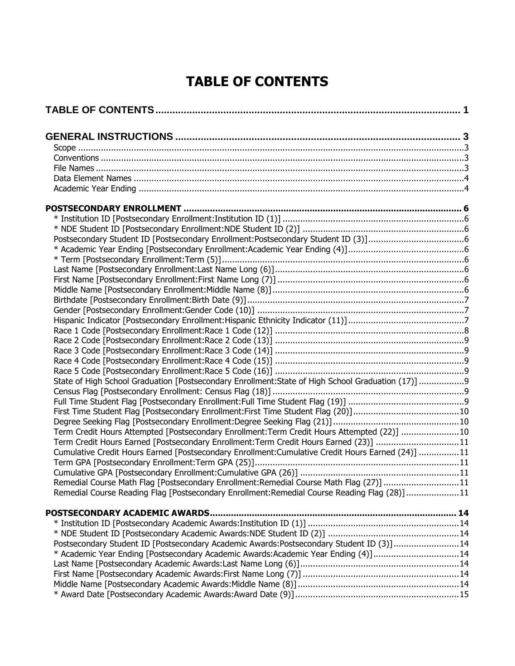# **TABLE OF CONTENTS**

<span id="page-2-0"></span>

| State of High School Graduation [Postsecondary Enrollment:State of High School Graduation (17)] 9 |  |
|---------------------------------------------------------------------------------------------------|--|
|                                                                                                   |  |
|                                                                                                   |  |
|                                                                                                   |  |
|                                                                                                   |  |
| Term Credit Hours Attempted [Postsecondary Enrollment: Term Credit Hours Attempted (22)] 10       |  |
| Term Credit Hours Earned [Postsecondary Enrollment: Term Credit Hours Earned (23)] 11             |  |
| Cumulative Credit Hours Earned [Postsecondary Enrollment:Cumulative Credit Hours Earned (24)] 11  |  |
|                                                                                                   |  |
|                                                                                                   |  |
| Remedial Course Math Flag [Postsecondary Enrollment:Remedial Course Math Flag (27)] 11            |  |
| Remedial Course Reading Flag [Postsecondary Enrollment: Remedial Course Reading Flag (28)]11      |  |
|                                                                                                   |  |
|                                                                                                   |  |
|                                                                                                   |  |
| Postsecondary Student ID [Postsecondary Academic Awards:Postsecondary Student ID (3)]14           |  |
| * Academic Year Ending [Postsecondary Academic Awards:Academic Year Ending (4)]14                 |  |
|                                                                                                   |  |
|                                                                                                   |  |
|                                                                                                   |  |
|                                                                                                   |  |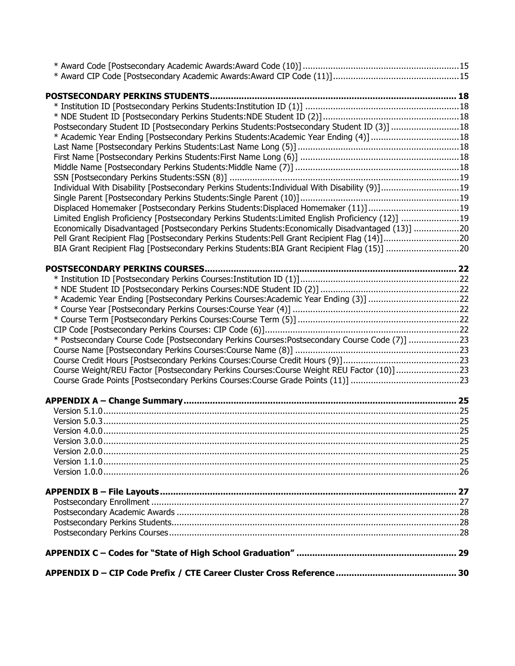| Postsecondary Student ID [Postsecondary Perkins Students:Postsecondary Student ID (3)] 18        |  |
|--------------------------------------------------------------------------------------------------|--|
| * Academic Year Ending [Postsecondary Perkins Students: Academic Year Ending (4)] 18             |  |
|                                                                                                  |  |
|                                                                                                  |  |
|                                                                                                  |  |
|                                                                                                  |  |
| Individual With Disability [Postsecondary Perkins Students: Individual With Disability (9)]19    |  |
|                                                                                                  |  |
| Displaced Homemaker [Postsecondary Perkins Students:Displaced Homemaker (11)]19                  |  |
| Limited English Proficiency [Postsecondary Perkins Students:Limited English Proficiency (12)] 19 |  |
| Economically Disadvantaged [Postsecondary Perkins Students: Economically Disadvantaged (13)] 20  |  |
| Pell Grant Recipient Flag [Postsecondary Perkins Students: Pell Grant Recipient Flag (14)]20     |  |
| BIA Grant Recipient Flag [Postsecondary Perkins Students: BIA Grant Recipient Flag (15)] 20      |  |
|                                                                                                  |  |
|                                                                                                  |  |
|                                                                                                  |  |
|                                                                                                  |  |
| * Academic Year Ending [Postsecondary Perkins Courses: Academic Year Ending (3)] 22              |  |
|                                                                                                  |  |
|                                                                                                  |  |
|                                                                                                  |  |
| * Postsecondary Course Code [Postsecondary Perkins Courses:Postsecondary Course Code (7)] 23     |  |
|                                                                                                  |  |
|                                                                                                  |  |
| Course Weight/REU Factor [Postsecondary Perkins Courses:Course Weight REU Factor (10)]23         |  |
|                                                                                                  |  |
|                                                                                                  |  |
|                                                                                                  |  |
|                                                                                                  |  |
|                                                                                                  |  |
|                                                                                                  |  |
|                                                                                                  |  |
|                                                                                                  |  |
|                                                                                                  |  |
|                                                                                                  |  |
|                                                                                                  |  |
|                                                                                                  |  |
|                                                                                                  |  |
|                                                                                                  |  |
|                                                                                                  |  |
|                                                                                                  |  |
|                                                                                                  |  |
|                                                                                                  |  |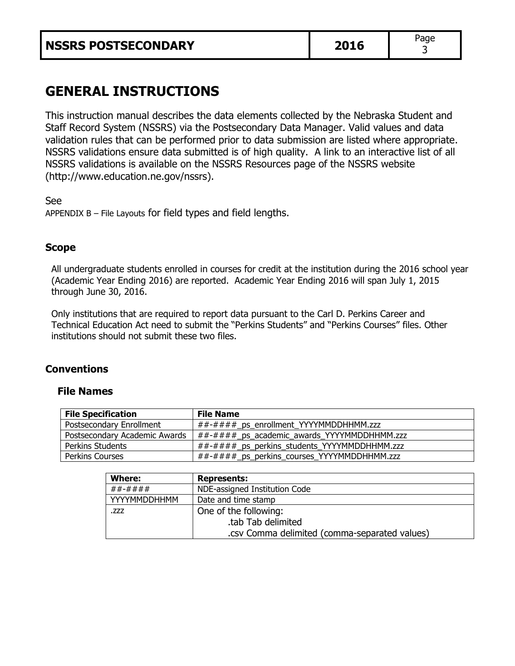# <span id="page-4-0"></span>**GENERAL INSTRUCTIONS**

This instruction manual describes the data elements collected by the Nebraska Student and Staff Record System (NSSRS) via the Postsecondary Data Manager. Valid values and data validation rules that can be performed prior to data submission are listed where appropriate. NSSRS validations ensure data submitted is of high quality. A link to an interactive list of all NSSRS validations is available on the NSSRS Resources page of the NSSRS website [\(http://www.education.ne.gov/nssrs\)](http://www.education.ne.gov/nssrs).

See

[APPENDIX B](#page-28-2) – File Layouts for field types and field lengths.

#### <span id="page-4-1"></span>**Scope**

All undergraduate students enrolled in courses for credit at the institution during the 2016 school year (Academic Year Ending 2016) are reported. Academic Year Ending 2016 will span July 1, 2015 through June 30, 2016.

Only institutions that are required to report data pursuant to the Carl D. Perkins Career and Technical Education Act need to submit the "Perkins Students" and "Perkins Courses" files. Other institutions should not submit these two files.

#### <span id="page-4-3"></span><span id="page-4-2"></span>**Conventions**

#### **File Names**

| <b>File Specification</b>     | <b>File Name</b>                             |
|-------------------------------|----------------------------------------------|
| Postsecondary Enrollment      | ##-####_ps_enrollment_YYYYMMDDHHMM.zzz       |
| Postsecondary Academic Awards | ##-####_ps_academic_awards_YYYYMMDDHHMM.zzz  |
| Perkins Students              | ##-####_ps_perkins_students_YYYYMMDDHHMM.zzz |
| <b>Perkins Courses</b>        | ##-####_ps_perkins_courses_YYYYMMDDHHMM.zzz  |

| Where:       | <b>Represents:</b>                            |
|--------------|-----------------------------------------------|
| ##-####      | NDE-assigned Institution Code                 |
| YYYYMMDDHHMM | Date and time stamp                           |
| .ZZZ         | One of the following:                         |
|              | tab Tab delimited                             |
|              | .csv Comma delimited (comma-separated values) |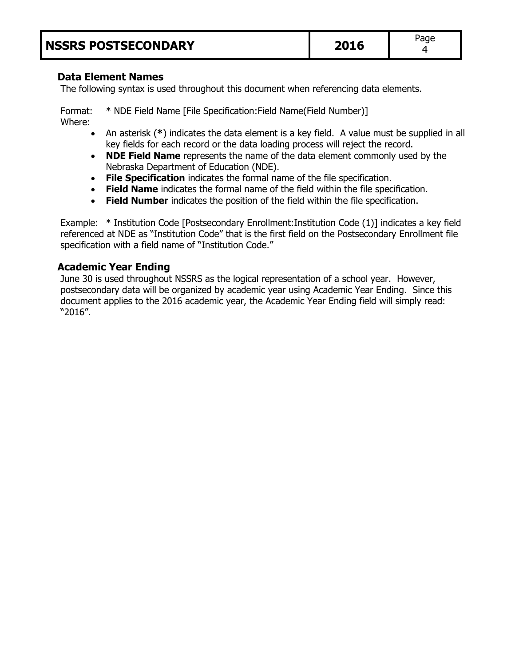### <span id="page-5-0"></span>**Data Element Names**

The following syntax is used throughout this document when referencing data elements.

Format: \* NDE Field Name [File Specification:Field Name(Field Number)] Where:

- An asterisk (**\***) indicates the data element is a key field. A value must be supplied in all key fields for each record or the data loading process will reject the record.
- **NDE Field Name** represents the name of the data element commonly used by the Nebraska Department of Education (NDE).
- **File Specification** indicates the formal name of the file specification.
- **Field Name** indicates the formal name of the field within the file specification.
- **Field Number** indicates the position of the field within the file specification.

Example: \* Institution Code [Postsecondary Enrollment:Institution Code (1)] indicates a key field referenced at NDE as "Institution Code" that is the first field on the Postsecondary Enrollment file specification with a field name of "Institution Code."

## <span id="page-5-1"></span>**Academic Year Ending**

June 30 is used throughout NSSRS as the logical representation of a school year. However, postsecondary data will be organized by academic year using Academic Year Ending. Since this document applies to the 2016 academic year, the Academic Year Ending field will simply read: "2016".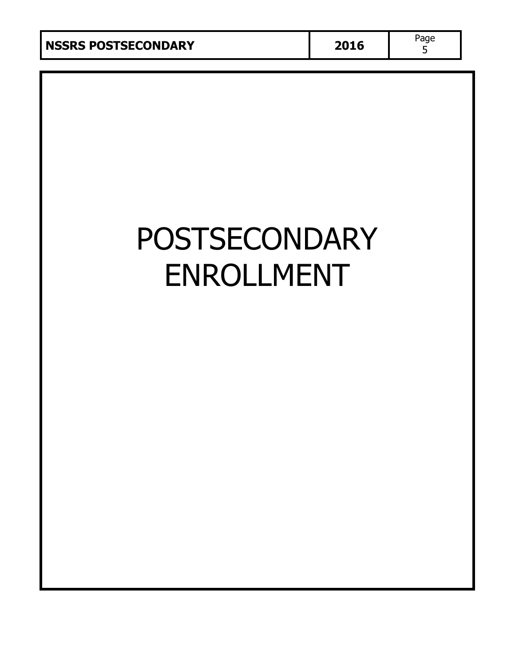# POSTSECONDARY ENROLLMENT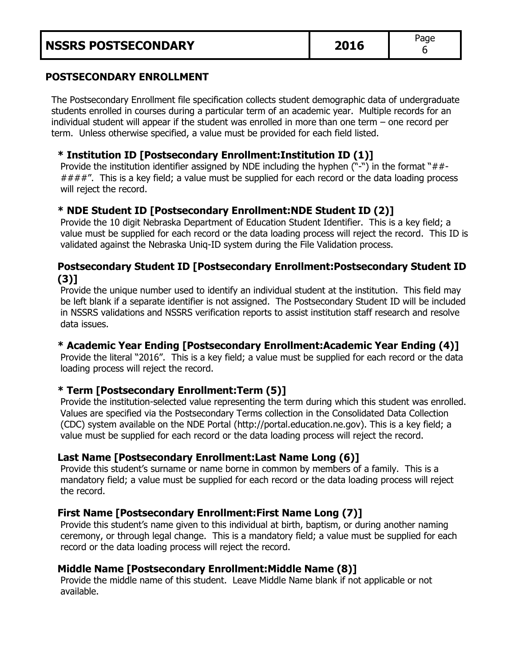## <span id="page-7-0"></span>**POSTSECONDARY ENROLLMENT**

The Postsecondary Enrollment file specification collects student demographic data of undergraduate students enrolled in courses during a particular term of an academic year. Multiple records for an individual student will appear if the student was enrolled in more than one term – one record per term. Unless otherwise specified, a value must be provided for each field listed.

# <span id="page-7-1"></span>**\* Institution ID [Postsecondary Enrollment:Institution ID (1)]**

Provide the institution identifier assigned by NDE including the hyphen ("-") in the format " $#+$ - $\# \# \# \# ''$ . This is a key field; a value must be supplied for each record or the data loading process will reject the record.

## <span id="page-7-2"></span>**\* NDE Student ID [Postsecondary Enrollment:NDE Student ID (2)]**

Provide the 10 digit Nebraska Department of Education Student Identifier. This is a key field; a value must be supplied for each record or the data loading process will reject the record. This ID is validated against the Nebraska Uniq-ID system during the File Validation process.

### <span id="page-7-3"></span>**Postsecondary Student ID [Postsecondary Enrollment:Postsecondary Student ID (3)]**

Provide the unique number used to identify an individual student at the institution. This field may be left blank if a separate identifier is not assigned. The Postsecondary Student ID will be included in NSSRS validations and NSSRS verification reports to assist institution staff research and resolve data issues.

# <span id="page-7-4"></span>**\* Academic Year Ending [Postsecondary Enrollment:Academic Year Ending (4)]**

Provide the literal "2016". This is a key field; a value must be supplied for each record or the data loading process will reject the record.

# <span id="page-7-5"></span>**\* Term [Postsecondary Enrollment:Term (5)]**

Provide the institution-selected value representing the term during which this student was enrolled. Values are specified via the Postsecondary Terms collection in the Consolidated Data Collection (CDC) system available on the NDE Portal [\(http://portal.education.ne.gov\)](http://portal.education.ne.gov/). This is a key field; a value must be supplied for each record or the data loading process will reject the record.

# <span id="page-7-6"></span>**Last Name [Postsecondary Enrollment:Last Name Long (6)]**

Provide this student's surname or name borne in common by members of a family. This is a mandatory field; a value must be supplied for each record or the data loading process will reject the record.

### <span id="page-7-7"></span>**First Name [Postsecondary Enrollment:First Name Long (7)]**

Provide this student's name given to this individual at birth, baptism, or during another naming ceremony, or through legal change. This is a mandatory field; a value must be supplied for each record or the data loading process will reject the record.

# <span id="page-7-8"></span>**Middle Name [Postsecondary Enrollment:Middle Name (8)]**

Provide the middle name of this student. Leave Middle Name blank if not applicable or not available.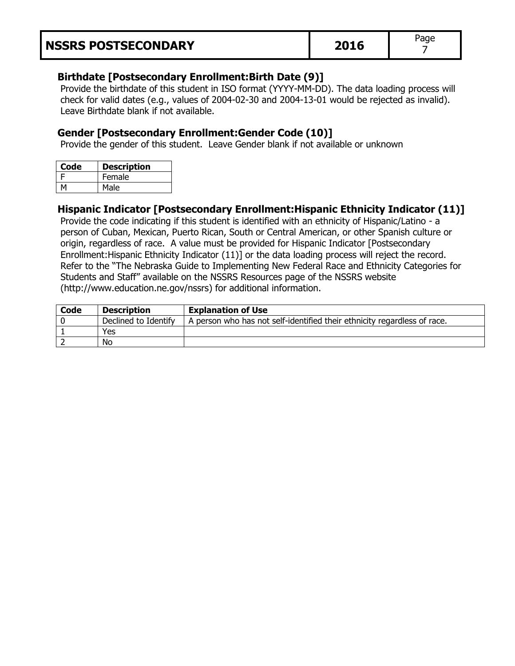| <b>NSSRS POSTSECONDARY</b> |  | Page |
|----------------------------|--|------|
|----------------------------|--|------|

#### <span id="page-8-0"></span>**Birthdate [Postsecondary Enrollment:Birth Date (9)]**

Provide the birthdate of this student in ISO format (YYYY-MM-DD). The data loading process will check for valid dates (e.g., values of 2004-02-30 and 2004-13-01 would be rejected as invalid). Leave Birthdate blank if not available.

#### <span id="page-8-1"></span>**Gender [Postsecondary Enrollment:Gender Code (10)]**

Provide the gender of this student. Leave Gender blank if not available or unknown

| Code | <b>Description</b> |
|------|--------------------|
|      | Female             |
| м    | Male               |

#### <span id="page-8-2"></span>**Hispanic Indicator [Postsecondary Enrollment:Hispanic Ethnicity Indicator (11)]**

Provide the code indicating if this student is identified with an ethnicity of Hispanic/Latino - a person of Cuban, Mexican, Puerto Rican, South or Central American, or other Spanish culture or origin, regardless of race. A value must be provided for Hispanic Indicator [Postsecondary Enrollment:Hispanic Ethnicity Indicator (11)] or the data loading process will reject the record. Refer to the "The Nebraska Guide to Implementing New Federal Race and Ethnicity Categories for Students and Staff" available on the NSSRS Resources page of the NSSRS website [\(http://www.education.ne.gov/nssrs\)](http://www.education.ne.gov/nssrs) for additional information.

| <b>Code</b> | <b>Description</b>   | <b>Explanation of Use</b>                                                |
|-------------|----------------------|--------------------------------------------------------------------------|
|             | Declined to Identify | A person who has not self-identified their ethnicity regardless of race. |
|             | Yes                  |                                                                          |
|             | No                   |                                                                          |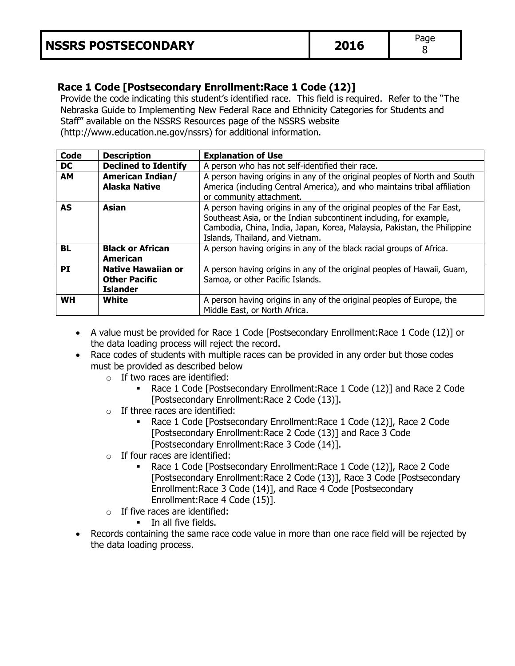# <span id="page-9-0"></span>**Race 1 Code [Postsecondary Enrollment:Race 1 Code (12)]**

Provide the code indicating this student's identified race. This field is required. Refer to the "The Nebraska Guide to Implementing New Federal Race and Ethnicity Categories for Students and Staff" available on the NSSRS Resources page of the NSSRS website (http://www.education.ne.gov/nssrs) for additional information.

| Code      | <b>Description</b>                                                   | <b>Explanation of Use</b>                                                                                                                                                                                                                                    |
|-----------|----------------------------------------------------------------------|--------------------------------------------------------------------------------------------------------------------------------------------------------------------------------------------------------------------------------------------------------------|
| <b>DC</b> | <b>Declined to Identify</b>                                          | A person who has not self-identified their race.                                                                                                                                                                                                             |
| <b>AM</b> | <b>American Indian/</b><br>Alaska Native                             | A person having origins in any of the original peoples of North and South<br>America (including Central America), and who maintains tribal affiliation<br>or community attachment.                                                                           |
| <b>AS</b> | Asian                                                                | A person having origins in any of the original peoples of the Far East,<br>Southeast Asia, or the Indian subcontinent including, for example,<br>Cambodia, China, India, Japan, Korea, Malaysia, Pakistan, the Philippine<br>Islands, Thailand, and Vietnam. |
| <b>BL</b> | <b>Black or African</b><br>American                                  | A person having origins in any of the black racial groups of Africa.                                                                                                                                                                                         |
| PI        | <b>Native Hawaiian or</b><br><b>Other Pacific</b><br><b>Islander</b> | A person having origins in any of the original peoples of Hawaii, Guam,<br>Samoa, or other Pacific Islands.                                                                                                                                                  |
| <b>WH</b> | White                                                                | A person having origins in any of the original peoples of Europe, the<br>Middle East, or North Africa.                                                                                                                                                       |

- A value must be provided for Race 1 Code [Postsecondary Enrollment:Race 1 Code (12)] or the data loading process will reject the record.
- Race codes of students with multiple races can be provided in any order but those codes must be provided as described below
	- $\circ$  If two races are identified:
		- Race 1 Code [Postsecondary Enrollment:Race 1 Code (12)] and Race 2 Code [Postsecondary Enrollment:Race 2 Code (13)].
	- o If three races are identified:
		- Race 1 Code [Postsecondary Enrollment:Race 1 Code (12)], Race 2 Code [Postsecondary Enrollment:Race 2 Code (13)] and Race 3 Code [Postsecondary Enrollment:Race 3 Code (14)].
	- $\circ$  If four races are identified:
		- Race 1 Code [Postsecondary Enrollment:Race 1 Code (12)], Race 2 Code [Postsecondary Enrollment:Race 2 Code (13)], Race 3 Code [Postsecondary Enrollment:Race 3 Code (14)], and Race 4 Code [Postsecondary Enrollment:Race 4 Code (15)].
	- $\circ$  If five races are identified:
		- **IDED** In all five fields.
- Records containing the same race code value in more than one race field will be rejected by the data loading process.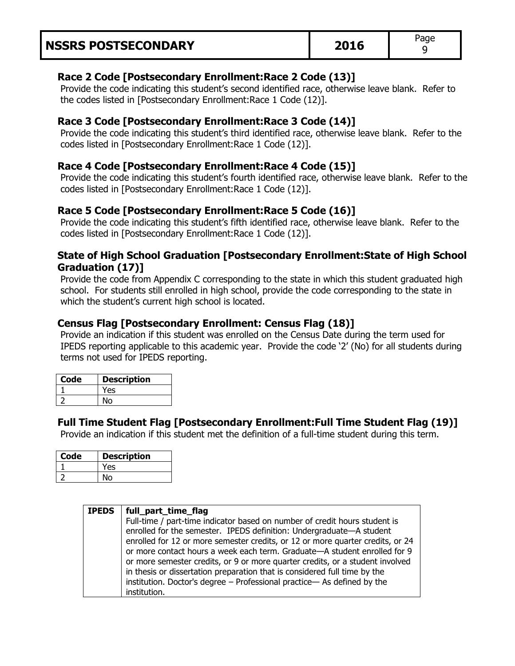| <b>NSSRS POSTSECONDARY</b> | 2016 | Page |
|----------------------------|------|------|
|----------------------------|------|------|

#### <span id="page-10-0"></span>**Race 2 Code [Postsecondary Enrollment:Race 2 Code (13)]**

Provide the code indicating this student's second identified race, otherwise leave blank. Refer to the codes listed in [Postsecondary Enrollment:Race 1 Code (12)].

#### <span id="page-10-1"></span>**Race 3 Code [Postsecondary Enrollment:Race 3 Code (14)]**

Provide the code indicating this student's third identified race, otherwise leave blank. Refer to the codes listed in [Postsecondary Enrollment:Race 1 Code (12)].

#### <span id="page-10-2"></span>**Race 4 Code [Postsecondary Enrollment:Race 4 Code (15)]**

Provide the code indicating this student's fourth identified race, otherwise leave blank. Refer to the codes listed in [Postsecondary Enrollment:Race 1 Code (12)].

#### <span id="page-10-3"></span>**Race 5 Code [Postsecondary Enrollment:Race 5 Code (16)]**

Provide the code indicating this student's fifth identified race, otherwise leave blank. Refer to the codes listed in [Postsecondary Enrollment:Race 1 Code (12)].

#### <span id="page-10-4"></span>**State of High School Graduation [Postsecondary Enrollment:State of High School Graduation (17)]**

Provide the code from Appendix C corresponding to the state in which this student graduated high school. For students still enrolled in high school, provide the code corresponding to the state in which the student's current high school is located.

#### <span id="page-10-5"></span>**Census Flag [Postsecondary Enrollment: Census Flag (18)]**

Provide an indication if this student was enrolled on the Census Date during the term used for IPEDS reporting applicable to this academic year. Provide the code '2' (No) for all students during terms not used for IPEDS reporting.

| Code | <b>Description</b> |
|------|--------------------|
|      | Yes                |
|      | N∩                 |

#### <span id="page-10-6"></span>**Full Time Student Flag [Postsecondary Enrollment:Full Time Student Flag (19)]**

Provide an indication if this student met the definition of a full-time student during this term.

| Code | <b>Description</b> |
|------|--------------------|
|      | Yes                |
|      | Nο                 |

| <b>IPEDS</b> | full_part_time_flag                                                            |
|--------------|--------------------------------------------------------------------------------|
|              | Full-time / part-time indicator based on number of credit hours student is     |
|              | enrolled for the semester. IPEDS definition: Undergraduate-A student           |
|              | enrolled for 12 or more semester credits, or 12 or more quarter credits, or 24 |
|              | or more contact hours a week each term. Graduate-A student enrolled for 9      |
|              | or more semester credits, or 9 or more quarter credits, or a student involved  |
|              | in thesis or dissertation preparation that is considered full time by the      |
|              | institution. Doctor's degree - Professional practice- As defined by the        |
|              | institution.                                                                   |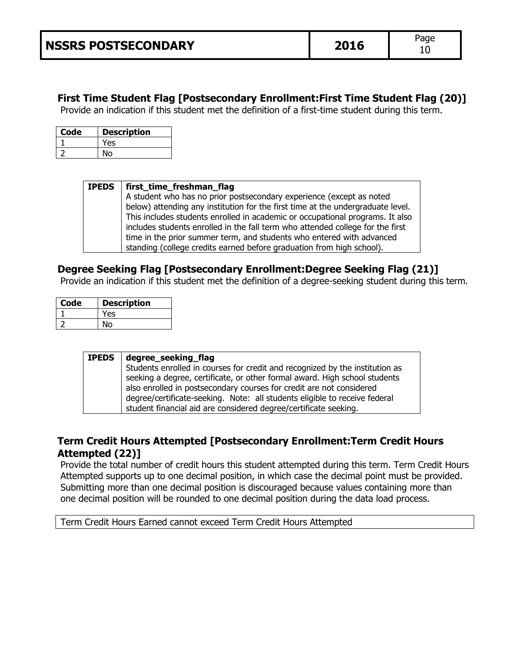### <span id="page-11-0"></span>**First Time Student Flag [Postsecondary Enrollment:First Time Student Flag (20)]**

Provide an indication if this student met the definition of a first-time student during this term.

| Code | <b>Description</b> |
|------|--------------------|
|      | Yes                |
|      | N∩                 |

| <b>IPEDS</b>   first_time_freshman_flag                                         |
|---------------------------------------------------------------------------------|
| A student who has no prior postsecondary experience (except as noted            |
| below) attending any institution for the first time at the undergraduate level. |
| This includes students enrolled in academic or occupational programs. It also   |
| includes students enrolled in the fall term who attended college for the first  |
| time in the prior summer term, and students who entered with advanced           |
| standing (college credits earned before graduation from high school).           |

#### <span id="page-11-1"></span>**Degree Seeking Flag [Postsecondary Enrollment:Degree Seeking Flag (21)]**

Provide an indication if this student met the definition of a degree-seeking student during this term.

| Code | <b>Description</b> |
|------|--------------------|
|      | Yes                |
|      | N∩                 |

| <b>IPEDS</b> degree_seeking_flag                                             |
|------------------------------------------------------------------------------|
| Students enrolled in courses for credit and recognized by the institution as |
| seeking a degree, certificate, or other formal award. High school students   |
| also enrolled in postsecondary courses for credit are not considered         |
| degree/certificate-seeking. Note: all students eligible to receive federal   |
| student financial aid are considered degree/certificate seeking.             |

### <span id="page-11-2"></span>**Term Credit Hours Attempted [Postsecondary Enrollment:Term Credit Hours Attempted (22)]**

Provide the total number of credit hours this student attempted during this term. Term Credit Hours Attempted supports up to one decimal position, in which case the decimal point must be provided. Submitting more than one decimal position is discouraged because values containing more than one decimal position will be rounded to one decimal position during the data load process.

Term Credit Hours Earned cannot exceed Term Credit Hours Attempted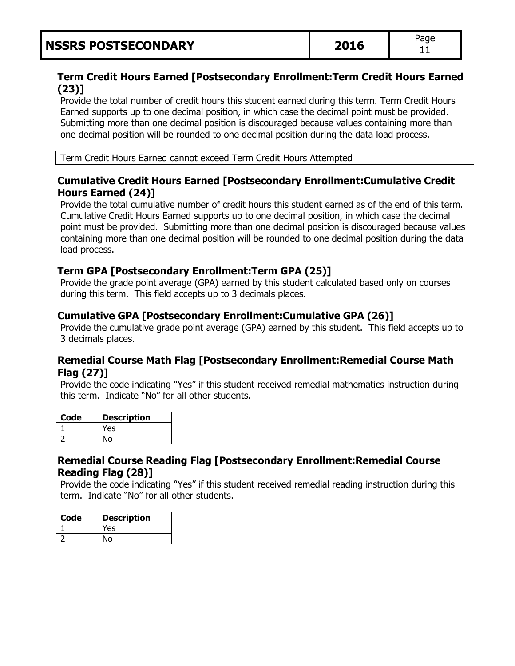#### <span id="page-12-0"></span>**Term Credit Hours Earned [Postsecondary Enrollment:Term Credit Hours Earned (23)]**

Provide the total number of credit hours this student earned during this term. Term Credit Hours Earned supports up to one decimal position, in which case the decimal point must be provided. Submitting more than one decimal position is discouraged because values containing more than one decimal position will be rounded to one decimal position during the data load process.

Term Credit Hours Earned cannot exceed Term Credit Hours Attempted

#### <span id="page-12-1"></span>**Cumulative Credit Hours Earned [Postsecondary Enrollment:Cumulative Credit Hours Earned (24)]**

Provide the total cumulative number of credit hours this student earned as of the end of this term. Cumulative Credit Hours Earned supports up to one decimal position, in which case the decimal point must be provided. Submitting more than one decimal position is discouraged because values containing more than one decimal position will be rounded to one decimal position during the data load process.

#### <span id="page-12-2"></span>**Term GPA [Postsecondary Enrollment:Term GPA (25)]**

Provide the grade point average (GPA) earned by this student calculated based only on courses during this term. This field accepts up to 3 decimals places.

#### <span id="page-12-3"></span>**Cumulative GPA [Postsecondary Enrollment:Cumulative GPA (26)]**

Provide the cumulative grade point average (GPA) earned by this student. This field accepts up to 3 decimals places.

#### <span id="page-12-4"></span>**Remedial Course Math Flag [Postsecondary Enrollment:Remedial Course Math Flag (27)]**

Provide the code indicating "Yes" if this student received remedial mathematics instruction during this term. Indicate "No" for all other students.

| Code | <b>Description</b> |
|------|--------------------|
|      | Yes                |
|      | No.                |

#### <span id="page-12-5"></span>**Remedial Course Reading Flag [Postsecondary Enrollment:Remedial Course Reading Flag (28)]**

Provide the code indicating "Yes" if this student received remedial reading instruction during this term. Indicate "No" for all other students.

| Code | <b>Description</b> |
|------|--------------------|
|      | Yes                |
|      | No.                |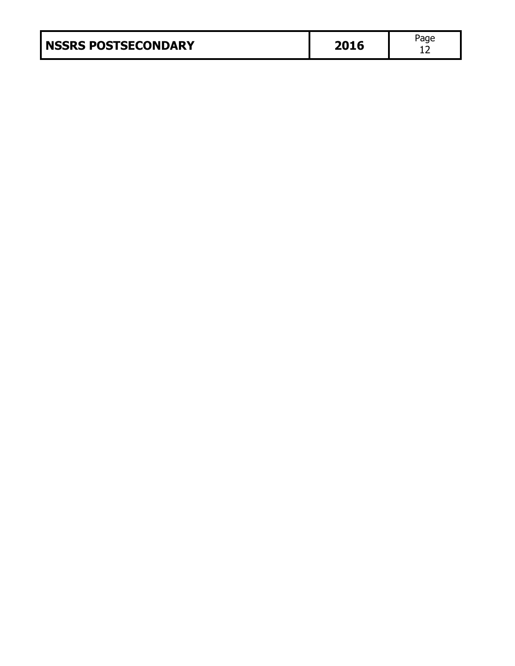| <b>NSSRS POSTSECONDARY</b> | 2016 | Page |
|----------------------------|------|------|
|----------------------------|------|------|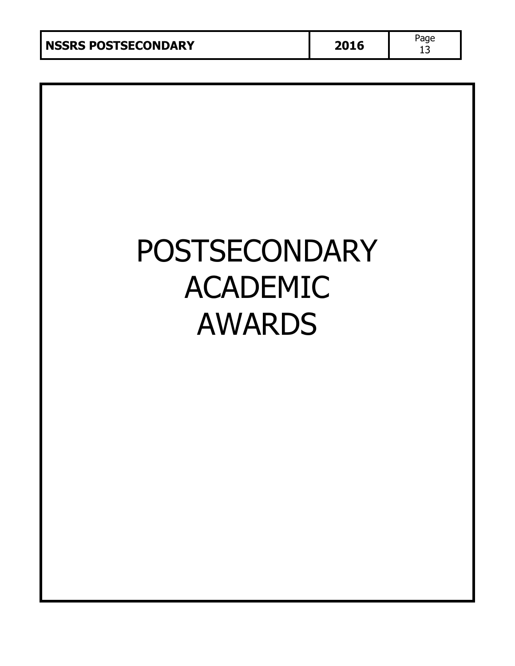Page<br>13

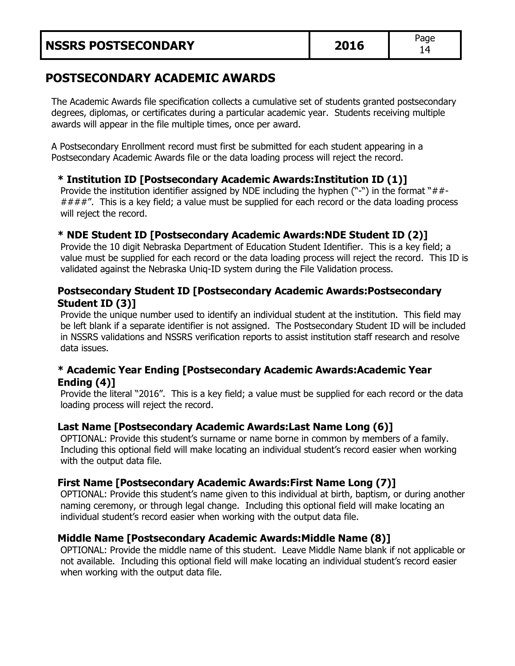# <span id="page-15-0"></span>**POSTSECONDARY ACADEMIC AWARDS**

The Academic Awards file specification collects a cumulative set of students granted postsecondary degrees, diplomas, or certificates during a particular academic year. Students receiving multiple awards will appear in the file multiple times, once per award.

A Postsecondary Enrollment record must first be submitted for each student appearing in a Postsecondary Academic Awards file or the data loading process will reject the record.

#### <span id="page-15-1"></span>**\* Institution ID [Postsecondary Academic Awards:Institution ID (1)]**

Provide the institution identifier assigned by NDE including the hyphen ("-") in the format "##- $\# \# \# \# ''$ . This is a key field; a value must be supplied for each record or the data loading process will reject the record.

#### <span id="page-15-2"></span>**\* NDE Student ID [Postsecondary Academic Awards:NDE Student ID (2)]**

Provide the 10 digit Nebraska Department of Education Student Identifier. This is a key field; a value must be supplied for each record or the data loading process will reject the record. This ID is validated against the Nebraska Uniq-ID system during the File Validation process.

#### <span id="page-15-3"></span>**Postsecondary Student ID [Postsecondary Academic Awards:Postsecondary Student ID (3)]**

Provide the unique number used to identify an individual student at the institution. This field may be left blank if a separate identifier is not assigned. The Postsecondary Student ID will be included in NSSRS validations and NSSRS verification reports to assist institution staff research and resolve data issues.

#### <span id="page-15-4"></span>**\* Academic Year Ending [Postsecondary Academic Awards:Academic Year Ending (4)]**

Provide the literal "2016". This is a key field; a value must be supplied for each record or the data loading process will reject the record.

#### <span id="page-15-5"></span>**Last Name [Postsecondary Academic Awards:Last Name Long (6)]**

OPTIONAL: Provide this student's surname or name borne in common by members of a family. Including this optional field will make locating an individual student's record easier when working with the output data file.

### <span id="page-15-6"></span>**First Name [Postsecondary Academic Awards:First Name Long (7)]**

OPTIONAL: Provide this student's name given to this individual at birth, baptism, or during another naming ceremony, or through legal change. Including this optional field will make locating an individual student's record easier when working with the output data file.

### <span id="page-15-7"></span>**Middle Name [Postsecondary Academic Awards:Middle Name (8)]**

OPTIONAL: Provide the middle name of this student. Leave Middle Name blank if not applicable or not available. Including this optional field will make locating an individual student's record easier when working with the output data file.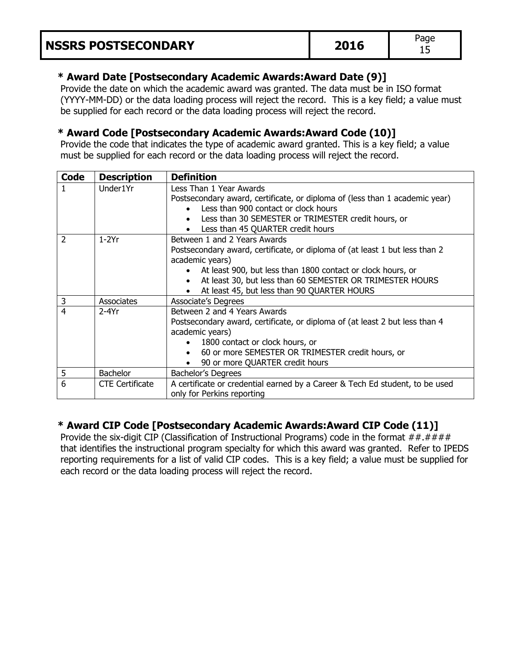| <b>NSSRS POSTSECONDARY</b> | 2016 | Page |
|----------------------------|------|------|
|----------------------------|------|------|

#### <span id="page-16-0"></span>**\* Award Date [Postsecondary Academic Awards:Award Date (9)]**

Provide the date on which the academic award was granted. The data must be in ISO format (YYYY-MM-DD) or the data loading process will reject the record. This is a key field; a value must be supplied for each record or the data loading process will reject the record.

#### <span id="page-16-1"></span>**\* Award Code [Postsecondary Academic Awards:Award Code (10)]**

Provide the code that indicates the type of academic award granted. This is a key field; a value must be supplied for each record or the data loading process will reject the record.

| Code           | <b>Description</b>     | <b>Definition</b>                                                            |  |
|----------------|------------------------|------------------------------------------------------------------------------|--|
| $\mathbf{1}$   | Under1Yr               | Less Than 1 Year Awards                                                      |  |
|                |                        | Postsecondary award, certificate, or diploma of (less than 1 academic year)  |  |
|                |                        | Less than 900 contact or clock hours                                         |  |
|                |                        | Less than 30 SEMESTER or TRIMESTER credit hours, or                          |  |
|                |                        | Less than 45 QUARTER credit hours                                            |  |
| $\overline{2}$ | $1-2Yr$                | Between 1 and 2 Years Awards                                                 |  |
|                |                        | Postsecondary award, certificate, or diploma of (at least 1 but less than 2  |  |
|                |                        | academic years)                                                              |  |
|                |                        | • At least 900, but less than 1800 contact or clock hours, or                |  |
|                |                        | At least 30, but less than 60 SEMESTER OR TRIMESTER HOURS<br>$\bullet$       |  |
|                |                        | At least 45, but less than 90 QUARTER HOURS                                  |  |
| $\overline{3}$ | Associates             | Associate's Degrees                                                          |  |
| $\overline{4}$ | $2-4Yr$                | Between 2 and 4 Years Awards                                                 |  |
|                |                        | Postsecondary award, certificate, or diploma of (at least 2 but less than 4  |  |
|                |                        | academic years)                                                              |  |
|                |                        | 1800 contact or clock hours, or                                              |  |
|                |                        | 60 or more SEMESTER OR TRIMESTER credit hours, or<br>$\bullet$               |  |
|                |                        | 90 or more QUARTER credit hours                                              |  |
| 5              | <b>Bachelor</b>        | Bachelor's Degrees                                                           |  |
| 6              | <b>CTE Certificate</b> | A certificate or credential earned by a Career & Tech Ed student, to be used |  |
|                |                        | only for Perkins reporting                                                   |  |

#### <span id="page-16-2"></span>**\* Award CIP Code [Postsecondary Academic Awards:Award CIP Code (11)]**

Provide the six-digit CIP (Classification of Instructional Programs) code in the format  $\#H$ . $\#H$ # $\#$ that identifies the instructional program specialty for which this award was granted. Refer to IPEDS reporting requirements for a list of valid CIP codes. This is a key field; a value must be supplied for each record or the data loading process will reject the record.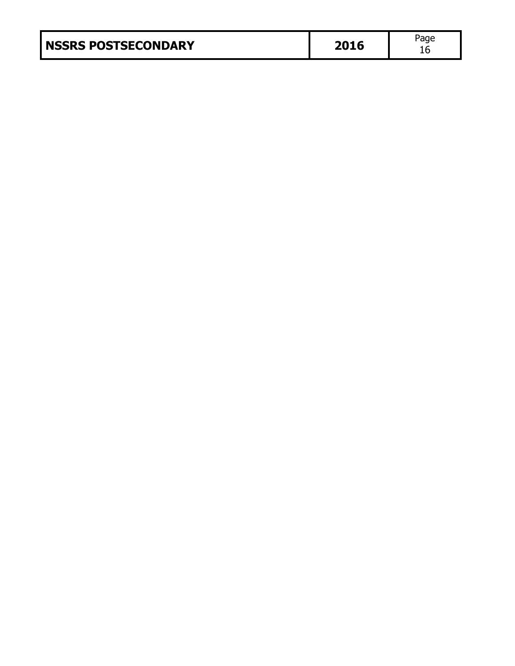| <b>NSSRS POSTSECONDARY</b> | 2016 | Page |
|----------------------------|------|------|
|----------------------------|------|------|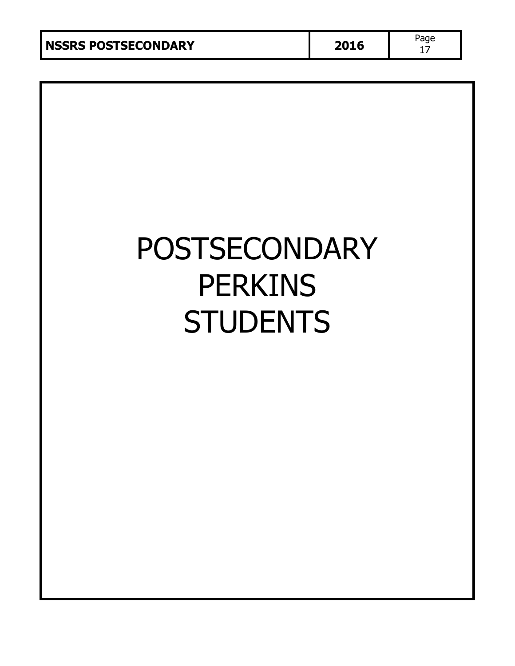Page<br>17

# POSTSECONDARY **PERKINS STUDENTS**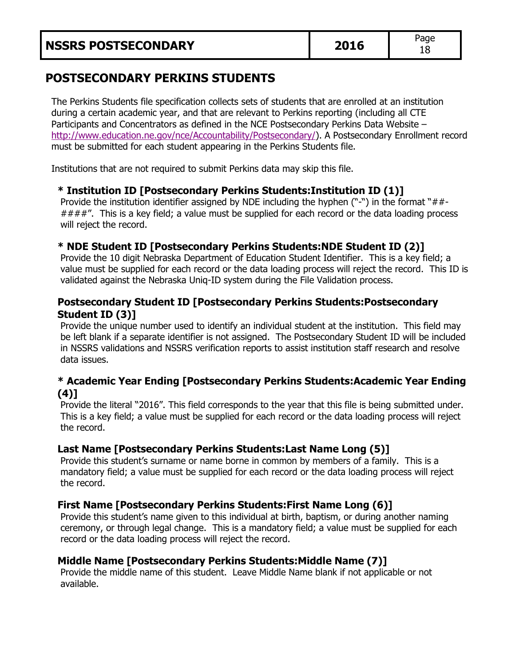# <span id="page-19-0"></span>**POSTSECONDARY PERKINS STUDENTS**

The Perkins Students file specification collects sets of students that are enrolled at an institution during a certain academic year, and that are relevant to Perkins reporting (including all CTE Participants and Concentrators as defined in the NCE Postsecondary Perkins Data Website – [http://www.education.ne.gov/nce/Accountability/Postsecondary/\)](http://www.education.ne.gov/nce/Accountability/Postsecondary/). A Postsecondary Enrollment record must be submitted for each student appearing in the Perkins Students file.

<span id="page-19-1"></span>Institutions that are not required to submit Perkins data may skip this file.

# **\* Institution ID [Postsecondary Perkins Students:Institution ID (1)]**

Provide the institution identifier assigned by NDE including the hyphen ("-") in the format " $#+$ - $\# \# \# \# ''$ . This is a key field; a value must be supplied for each record or the data loading process will reject the record.

# <span id="page-19-2"></span>**\* NDE Student ID [Postsecondary Perkins Students:NDE Student ID (2)]**

Provide the 10 digit Nebraska Department of Education Student Identifier. This is a key field; a value must be supplied for each record or the data loading process will reject the record. This ID is validated against the Nebraska Uniq-ID system during the File Validation process.

#### <span id="page-19-3"></span>**Postsecondary Student ID [Postsecondary Perkins Students:Postsecondary Student ID (3)]**

Provide the unique number used to identify an individual student at the institution. This field may be left blank if a separate identifier is not assigned. The Postsecondary Student ID will be included in NSSRS validations and NSSRS verification reports to assist institution staff research and resolve data issues.

#### <span id="page-19-4"></span>**\* Academic Year Ending [Postsecondary Perkins Students:Academic Year Ending (4)]**

Provide the literal "2016". This field corresponds to the year that this file is being submitted under. This is a key field; a value must be supplied for each record or the data loading process will reject the record.

# <span id="page-19-5"></span>**Last Name [Postsecondary Perkins Students:Last Name Long (5)]**

Provide this student's surname or name borne in common by members of a family. This is a mandatory field; a value must be supplied for each record or the data loading process will reject the record.

# <span id="page-19-6"></span>**First Name [Postsecondary Perkins Students:First Name Long (6)]**

Provide this student's name given to this individual at birth, baptism, or during another naming ceremony, or through legal change. This is a mandatory field; a value must be supplied for each record or the data loading process will reject the record.

# <span id="page-19-7"></span>**Middle Name [Postsecondary Perkins Students:Middle Name (7)]**

Provide the middle name of this student. Leave Middle Name blank if not applicable or not available.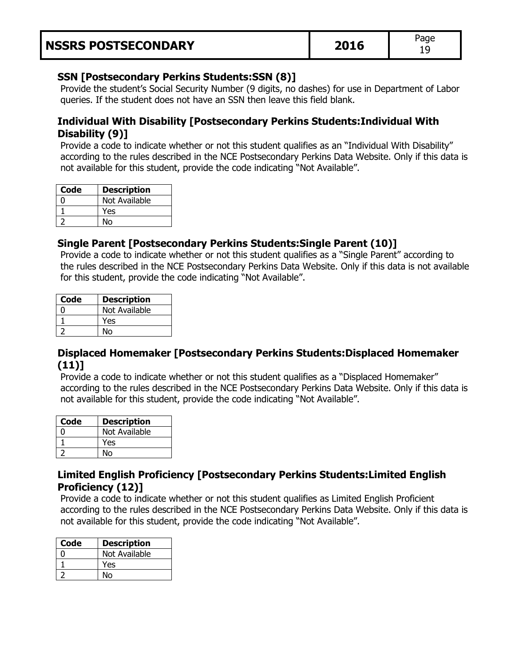| <b>NSSRS POSTSECONDARY</b> | 2016 | Page |
|----------------------------|------|------|
|----------------------------|------|------|

#### <span id="page-20-0"></span>**SSN [Postsecondary Perkins Students:SSN (8)]**

Provide the student's Social Security Number (9 digits, no dashes) for use in Department of Labor queries. If the student does not have an SSN then leave this field blank.

#### <span id="page-20-1"></span>**Individual With Disability [Postsecondary Perkins Students:Individual With Disability (9)]**

Provide a code to indicate whether or not this student qualifies as an "Individual With Disability" according to the rules described in the NCE Postsecondary Perkins Data Website. Only if this data is not available for this student, provide the code indicating "Not Available".

| Code | <b>Description</b> |
|------|--------------------|
| n    | Not Available      |
|      | Yes                |
|      | N٥                 |

#### <span id="page-20-2"></span>**Single Parent [Postsecondary Perkins Students:Single Parent (10)]**

Provide a code to indicate whether or not this student qualifies as a "Single Parent" according to the rules described in the NCE Postsecondary Perkins Data Website. Only if this data is not available for this student, provide the code indicating "Not Available".

| Code | <b>Description</b> |
|------|--------------------|
| n    | Not Available      |
|      | Yes                |
|      | N٥                 |

#### <span id="page-20-3"></span>**Displaced Homemaker [Postsecondary Perkins Students:Displaced Homemaker (11)]**

Provide a code to indicate whether or not this student qualifies as a "Displaced Homemaker" according to the rules described in the NCE Postsecondary Perkins Data Website. Only if this data is not available for this student, provide the code indicating "Not Available".

| Code | <b>Description</b> |  |  |
|------|--------------------|--|--|
| n    | Not Available      |  |  |
|      | Yes                |  |  |
|      | N٥                 |  |  |

#### <span id="page-20-4"></span>**Limited English Proficiency [Postsecondary Perkins Students:Limited English Proficiency (12)]**

Provide a code to indicate whether or not this student qualifies as Limited English Proficient according to the rules described in the NCE Postsecondary Perkins Data Website. Only if this data is not available for this student, provide the code indicating "Not Available".

| Code | <b>Description</b> |
|------|--------------------|
| n    | Not Available      |
|      | Yes                |
|      | N٥                 |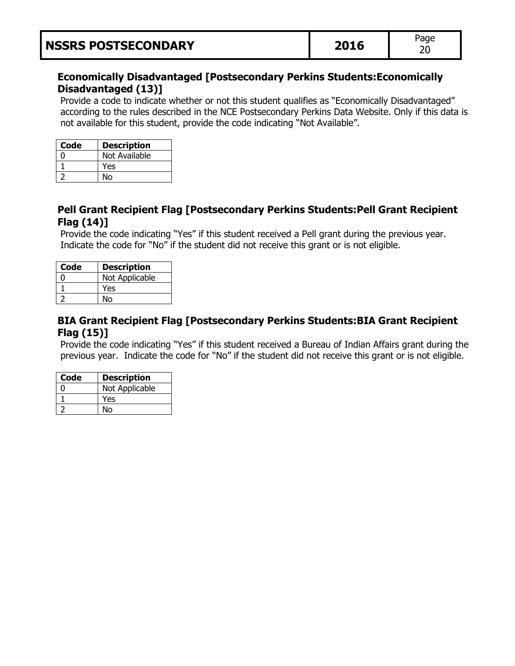| <b>NSSRS POSTSECONDARY</b> | 2016 | Page |
|----------------------------|------|------|
|----------------------------|------|------|

#### <span id="page-21-0"></span>**Economically Disadvantaged [Postsecondary Perkins Students:Economically Disadvantaged (13)]**

Provide a code to indicate whether or not this student qualifies as "Economically Disadvantaged" according to the rules described in the NCE Postsecondary Perkins Data Website. Only if this data is not available for this student, provide the code indicating "Not Available".

| Code | <b>Description</b> |
|------|--------------------|
| n    | Not Available      |
|      | Yes                |
|      | N٥                 |

#### <span id="page-21-1"></span>**Pell Grant Recipient Flag [Postsecondary Perkins Students:Pell Grant Recipient Flag (14)]**

Provide the code indicating "Yes" if this student received a Pell grant during the previous year. Indicate the code for "No" if the student did not receive this grant or is not eligible.

| Code | <b>Description</b> |  |  |
|------|--------------------|--|--|
| n    | Not Applicable     |  |  |
|      | Yes                |  |  |
|      | N٥                 |  |  |

#### <span id="page-21-2"></span>**BIA Grant Recipient Flag [Postsecondary Perkins Students:BIA Grant Recipient Flag (15)]**

Provide the code indicating "Yes" if this student received a Bureau of Indian Affairs grant during the previous year. Indicate the code for "No" if the student did not receive this grant or is not eligible.

| Code<br><b>Description</b> |                |  |  |  |  |
|----------------------------|----------------|--|--|--|--|
| n                          | Not Applicable |  |  |  |  |
|                            | Yes            |  |  |  |  |
|                            | N٥             |  |  |  |  |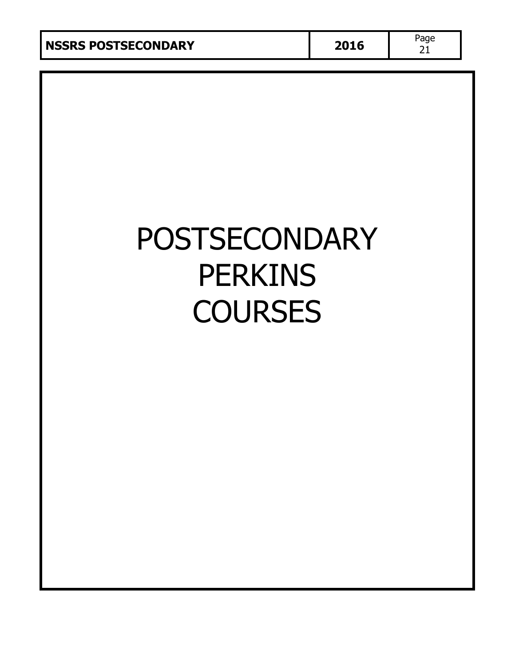# POSTSECONDARY PERKINS **COURSES**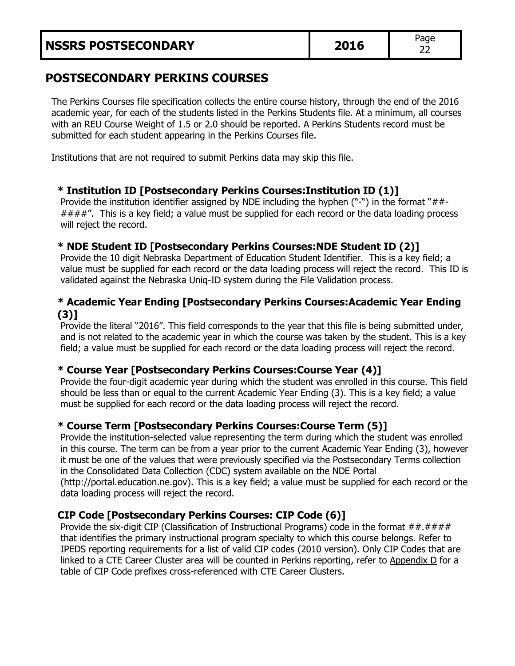# <span id="page-23-0"></span>**POSTSECONDARY PERKINS COURSES**

The Perkins Courses file specification collects the entire course history, through the end of the 2016 academic year, for each of the students listed in the Perkins Students file. At a minimum, all courses with an REU Course Weight of 1.5 or 2.0 should be reported. A Perkins Students record must be submitted for each student appearing in the Perkins Courses file.

Institutions that are not required to submit Perkins data may skip this file.

#### <span id="page-23-1"></span>**\* Institution ID [Postsecondary Perkins Courses:Institution ID (1)]**

Provide the institution identifier assigned by NDE including the hyphen ("-") in the format " $#+$ - $\# \# \# \# ''$ . This is a key field; a value must be supplied for each record or the data loading process will reject the record.

#### <span id="page-23-2"></span>**\* NDE Student ID [Postsecondary Perkins Courses:NDE Student ID (2)]**

Provide the 10 digit Nebraska Department of Education Student Identifier. This is a key field; a value must be supplied for each record or the data loading process will reject the record. This ID is validated against the Nebraska Uniq-ID system during the File Validation process.

#### <span id="page-23-3"></span>**\* Academic Year Ending [Postsecondary Perkins Courses:Academic Year Ending (3)]**

Provide the literal "2016". This field corresponds to the year that this file is being submitted under, and is not related to the academic year in which the course was taken by the student. This is a key field; a value must be supplied for each record or the data loading process will reject the record.

#### <span id="page-23-4"></span>**\* Course Year [Postsecondary Perkins Courses:Course Year (4)]**

Provide the four-digit academic year during which the student was enrolled in this course. This field should be less than or equal to the current Academic Year Ending (3). This is a key field; a value must be supplied for each record or the data loading process will reject the record.

#### <span id="page-23-5"></span>**\* Course Term [Postsecondary Perkins Courses:Course Term (5)]**

Provide the institution-selected value representing the term during which the student was enrolled in this course. The term can be from a year prior to the current Academic Year Ending (3), however it must be one of the values that were previously specified via the Postsecondary Terms collection in the Consolidated Data Collection (CDC) system available on the NDE Portal [\(http://portal.education.ne.gov\)](http://portal.education.ne.gov/). This is a key field; a value must be supplied for each record or the data loading process will reject the record.

#### <span id="page-23-6"></span>**CIP Code [Postsecondary Perkins Courses: CIP Code (6)]**

Provide the six-digit CIP (Classification of Instructional Programs) code in the format  $#######$ that identifies the primary instructional program specialty to which this course belongs. Refer to IPEDS reporting requirements for a list of valid CIP codes (2010 version). Only CIP Codes that are linked to a CTE Career Cluster area will be counted in Perkins reporting, refer to [Appendix D](#page-31-0) for a table of CIP Code prefixes cross-referenced with CTE Career Clusters.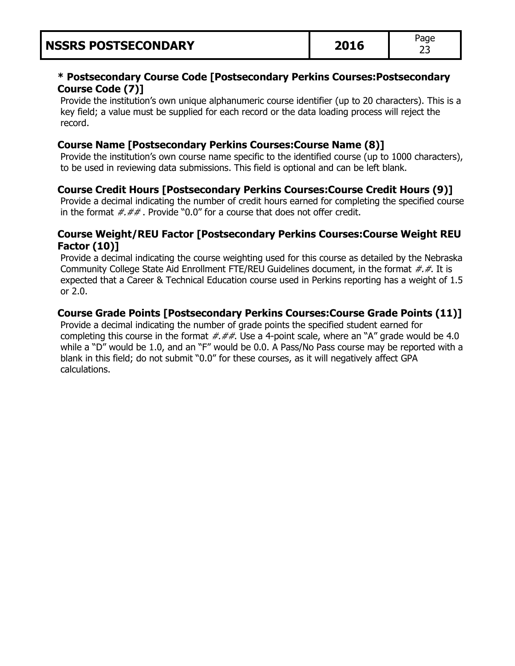#### <span id="page-24-0"></span>**\* Postsecondary Course Code [Postsecondary Perkins Courses:Postsecondary Course Code (7)]**

Provide the institution's own unique alphanumeric course identifier (up to 20 characters). This is a key field; a value must be supplied for each record or the data loading process will reject the record.

#### <span id="page-24-1"></span>**Course Name [Postsecondary Perkins Courses:Course Name (8)]**

Provide the institution's own course name specific to the identified course (up to 1000 characters), to be used in reviewing data submissions. This field is optional and can be left blank.

#### <span id="page-24-2"></span>**Course Credit Hours [Postsecondary Perkins Courses:Course Credit Hours (9)]**

Provide a decimal indicating the number of credit hours earned for completing the specified course in the format  $\#.\# \#$ . Provide "0.0" for a course that does not offer credit.

#### <span id="page-24-3"></span>**Course Weight/REU Factor [Postsecondary Perkins Courses:Course Weight REU Factor (10)]**

Provide a decimal indicating the course weighting used for this course as detailed by the Nebraska Community College State Aid Enrollment FTE/REU Guidelines document, in the format  $\# \#$ . It is expected that a Career & Technical Education course used in Perkins reporting has a weight of 1.5 or 2.0.

### <span id="page-24-4"></span>**Course Grade Points [Postsecondary Perkins Courses:Course Grade Points (11)]**

Provide a decimal indicating the number of grade points the specified student earned for completing this course in the format  $\# \# \#$ . Use a 4-point scale, where an "A" grade would be 4.0 while a "D" would be 1.0, and an "F" would be 0.0. A Pass/No Pass course may be reported with a blank in this field; do not submit "0.0" for these courses, as it will negatively affect GPA calculations.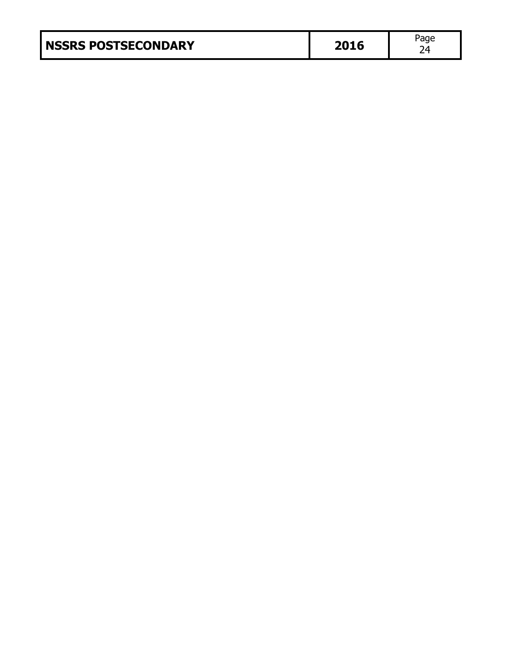| <b>NSSRS POSTSECONDARY</b> | 2016 | aae |
|----------------------------|------|-----|
|----------------------------|------|-----|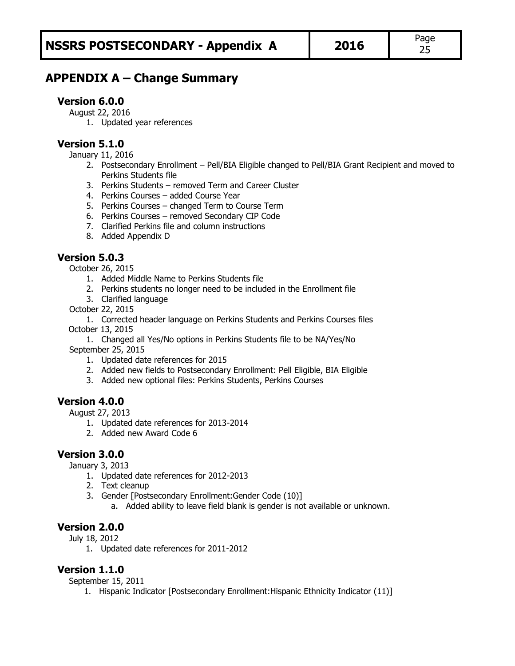# <span id="page-26-1"></span><span id="page-26-0"></span>**APPENDIX A – Change Summary**

#### **Version 6.0.0**

August 22, 2016

1. Updated year references

# **Version 5.1.0**

January 11, 2016

- 2. Postsecondary Enrollment Pell/BIA Eligible changed to Pell/BIA Grant Recipient and moved to Perkins Students file
- 3. Perkins Students removed Term and Career Cluster
- 4. Perkins Courses added Course Year
- 5. Perkins Courses changed Term to Course Term
- 6. Perkins Courses removed Secondary CIP Code
- 7. Clarified Perkins file and column instructions
- 8. Added Appendix D

# <span id="page-26-2"></span>**Version 5.0.3**

October 26, 2015

- 1. Added Middle Name to Perkins Students file
- 2. Perkins students no longer need to be included in the Enrollment file
- 3. Clarified language

October 22, 2015

1. Corrected header language on Perkins Students and Perkins Courses files October 13, 2015

1. Changed all Yes/No options in Perkins Students file to be NA/Yes/No September 25, 2015

- 1. Updated date references for 2015
- 2. Added new fields to Postsecondary Enrollment: Pell Eligible, BIA Eligible
- 3. Added new optional files: Perkins Students, Perkins Courses

# <span id="page-26-3"></span>**Version 4.0.0**

August 27, 2013

- 1. Updated date references for 2013-2014
- 2. Added new Award Code 6

# <span id="page-26-4"></span>**Version 3.0.0**

January 3, 2013

- 1. Updated date references for 2012-2013
- 2. Text cleanup
- 3. Gender [Postsecondary Enrollment:Gender Code (10)]
	- a. Added ability to leave field blank is gender is not available or unknown.

# <span id="page-26-5"></span>**Version 2.0.0**

- July 18, 2012
	- 1. Updated date references for 2011-2012

# <span id="page-26-6"></span>**Version 1.1.0**

September 15, 2011

1. Hispanic Indicator [Postsecondary Enrollment:Hispanic Ethnicity Indicator (11)]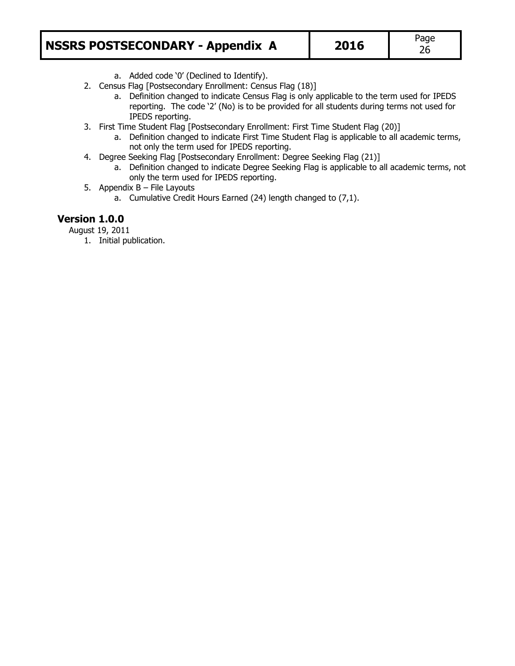# **NSSRS POSTSECONDARY - Appendix A** 2016

- a. Added code '0' (Declined to Identify).
- 2. Census Flag [Postsecondary Enrollment: Census Flag (18)]
	- a. Definition changed to indicate Census Flag is only applicable to the term used for IPEDS reporting. The code '2' (No) is to be provided for all students during terms not used for IPEDS reporting.
- 3. First Time Student Flag [Postsecondary Enrollment: First Time Student Flag (20)]
	- a. Definition changed to indicate First Time Student Flag is applicable to all academic terms, not only the term used for IPEDS reporting.
- 4. Degree Seeking Flag [Postsecondary Enrollment: Degree Seeking Flag (21)]
	- a. Definition changed to indicate Degree Seeking Flag is applicable to all academic terms, not only the term used for IPEDS reporting.
- 5. Appendix  $B$  File Layouts
	- a. Cumulative Credit Hours Earned (24) length changed to (7,1).

#### <span id="page-27-0"></span>**Version 1.0.0**

August 19, 2011

1. Initial publication.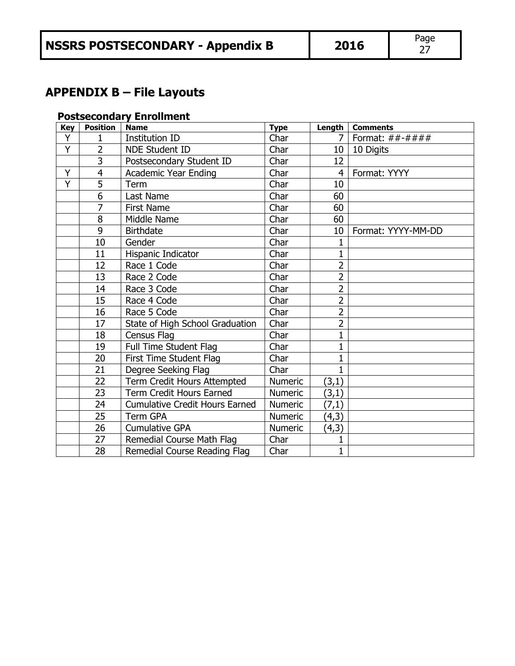| <b>NSSRS POSTSECONDARY - Appendix B</b> | 2016 | Page |
|-----------------------------------------|------|------|
|-----------------------------------------|------|------|

Т

Т

# <span id="page-28-2"></span><span id="page-28-0"></span>**APPENDIX B – File Layouts**

# <span id="page-28-1"></span>**Postsecondary Enrollment**

| <b>Key</b> | <b>Position</b> | <b>Name</b>                           | <b>Type</b>    | Length         | <b>Comments</b>        |
|------------|-----------------|---------------------------------------|----------------|----------------|------------------------|
| Y          | 1               | <b>Institution ID</b>                 | Char           | 7              | Format: $\# # - # # #$ |
| Y          | $\overline{2}$  | <b>NDE Student ID</b>                 | Char           | 10             | 10 Digits              |
|            | $\overline{3}$  | Postsecondary Student ID              | Char           | 12             |                        |
| Y          | 4               | Academic Year Ending                  | Char           | 4              | Format: YYYY           |
| Y          | $\overline{5}$  | Term                                  | Char           | 10             |                        |
|            | 6               | Last Name                             | Char           | 60             |                        |
|            | 7               | First Name                            | Char           | 60             |                        |
|            | 8               | Middle Name                           | Char           | 60             |                        |
|            | 9               | <b>Birthdate</b>                      | Char           | 10             | Format: YYYY-MM-DD     |
|            | 10              | Gender                                | Char           |                |                        |
|            | 11              | Hispanic Indicator                    | Char           |                |                        |
|            | 12              | Race 1 Code                           | Char           | $\overline{2}$ |                        |
|            | 13              | Race 2 Code                           | Char           | $\overline{2}$ |                        |
|            | 14              | Race 3 Code                           | Char           | $\overline{2}$ |                        |
|            | 15              | Race 4 Code                           | Char           | $\overline{2}$ |                        |
|            | 16              | Race 5 Code                           | Char           | $\overline{2}$ |                        |
|            | 17              | State of High School Graduation       | Char           | $\overline{2}$ |                        |
|            | 18              | Census Flag                           | Char           | $\mathbf{1}$   |                        |
|            | 19              | Full Time Student Flag                | Char           | $\mathbf{1}$   |                        |
|            | 20              | First Time Student Flag               | Char           | $\mathbf{1}$   |                        |
|            | 21              | Degree Seeking Flag                   | Char           |                |                        |
|            | 22              | Term Credit Hours Attempted           | <b>Numeric</b> | (3,1)          |                        |
|            | 23              | <b>Term Credit Hours Earned</b>       | Numeric        | (3,1)          |                        |
|            | 24              | <b>Cumulative Credit Hours Earned</b> | <b>Numeric</b> | (7,1)          |                        |
|            | 25              | <b>Term GPA</b>                       | Numeric        | (4,3)          |                        |
|            | 26              | <b>Cumulative GPA</b>                 | <b>Numeric</b> | (4,3)          |                        |
|            | 27              | Remedial Course Math Flag             | Char           |                |                        |
|            | 28              | Remedial Course Reading Flag          | Char           | $\mathbf 1$    |                        |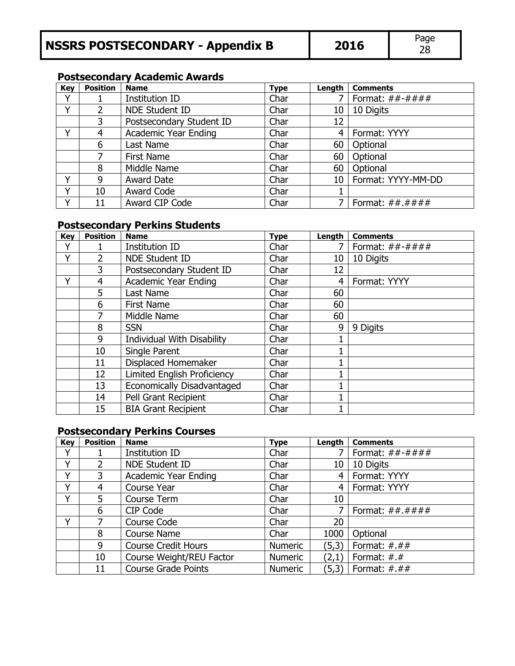# **NSSRS POSTSECONDARY - Appendix B 2016**

# <span id="page-29-0"></span>**Postsecondary Academic Awards**

| <b>Kev</b>   | <b>Position</b> | <b>Name</b>                 | <b>Type</b> | Length | <b>Comments</b>                       |
|--------------|-----------------|-----------------------------|-------------|--------|---------------------------------------|
| v            |                 | <b>Institution ID</b>       | Char        |        | Format: $\# # - # # #$                |
| v            |                 | <b>NDE Student ID</b>       | Char        | 10     | 10 Digits                             |
|              |                 | Postsecondary Student ID    | Char        | 12     |                                       |
| v            | 4               | <b>Academic Year Ending</b> | Char        | -4     | Format: YYYY                          |
|              | 6               | Last Name                   | Char        | 60     | Optional                              |
|              |                 | First Name                  | Char        | 60     | Optional                              |
|              | 8               | Middle Name                 | Char        | 60     | Optional                              |
| v            | 9               | <b>Award Date</b>           | Char        | 10     | Format: YYYY-MM-DD                    |
| v            | 10              | Award Code                  | Char        |        |                                       |
| $\checkmark$ | 11              | Award CIP Code              | Char        |        | Format: $\#$ $\#$ $\#$ $\#$ $\#$ $\#$ |

# <span id="page-29-1"></span>**Postsecondary Perkins Students**

| <b>Key</b> | <b>Position</b> | <b>Name</b>                        | <b>Type</b> | Length         | <b>Comments</b>         |
|------------|-----------------|------------------------------------|-------------|----------------|-------------------------|
|            |                 | Institution ID                     | Char        |                | Format: $\# # - # \# #$ |
| Y          | 2               | <b>NDE Student ID</b>              | Char        | 10             | 10 Digits               |
|            | 3               | Postsecondary Student ID           | Char        | 12             |                         |
| Y          | 4               | <b>Academic Year Ending</b>        | Char        | $\overline{4}$ | Format: YYYY            |
|            | 5               | Last Name                          | Char        | 60             |                         |
|            | 6               | <b>First Name</b>                  | Char        | 60             |                         |
|            |                 | Middle Name                        | Char        | 60             |                         |
|            | 8               | <b>SSN</b>                         | Char        | 9              | 9 Digits                |
|            | 9               | <b>Individual With Disability</b>  | Char        |                |                         |
|            | 10              | Single Parent                      | Char        |                |                         |
|            | 11              | Displaced Homemaker                | Char        |                |                         |
|            | 12              | <b>Limited English Proficiency</b> | Char        |                |                         |
|            | 13              | Economically Disadvantaged         | Char        |                |                         |
|            | 14              | Pell Grant Recipient               | Char        |                |                         |
|            | 15              | <b>BIA Grant Recipient</b>         | Char        |                |                         |

## <span id="page-29-2"></span>**Postsecondary Perkins Courses**

| <b>Kev</b>   | <b>Position</b> | <b>Name</b>                 | <b>Type</b>    | Length | <b>Comments</b>               |
|--------------|-----------------|-----------------------------|----------------|--------|-------------------------------|
|              |                 | Institution ID              | Char           |        | Format: $\# # - # # #$        |
| $\checkmark$ |                 | <b>NDE Student ID</b>       | Char           | 10     | 10 Digits                     |
| $\checkmark$ | 3               | <b>Academic Year Ending</b> | Char           |        | Format: YYYY                  |
| $\checkmark$ | 4               | Course Year                 | Char           | 4      | Format: YYYY                  |
| Y            | 5.              | Course Term                 | Char           | 10     |                               |
|              | 6               | CIP Code                    | Char           |        | Format: $\# \# . \# \# \# \#$ |
| v            |                 | Course Code                 | Char           | 20     |                               |
|              | 8               | Course Name                 | Char           | 1000   | Optional                      |
|              | 9               | <b>Course Credit Hours</b>  | <b>Numeric</b> | (5,3)  | Format: $# .##$               |
|              | 10              | Course Weight/REU Factor    | <b>Numeric</b> | (2,1)  | Format: $#.*$                 |
|              | 11              | <b>Course Grade Points</b>  | <b>Numeric</b> |        | $(5,3)$   Format: #.##        |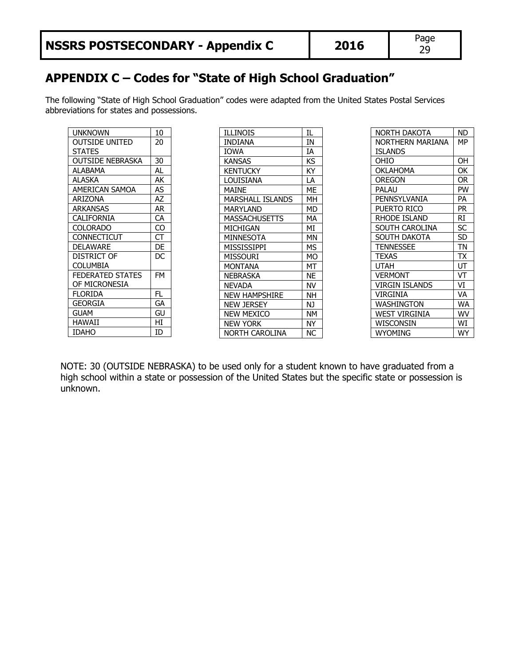# <span id="page-30-0"></span>**APPENDIX C – Codes for "State of High School Graduation"**

The following "State of High School Graduation" codes were adapted from the United States Postal Services abbreviations for states and possessions.

| unknown                 | 10 |
|-------------------------|----|
| OUTSIDE UNITED          | 20 |
| STATES                  |    |
| <b>OUTSIDE NEBRASKA</b> | 30 |
| ALABAMA                 | AL |
| <b>ALASKA</b>           | AK |
| AMERICAN SAMOA          | AS |
| <b>ARIZONA</b>          | AZ |
| <b>ARKANSAS</b>         | AR |
| CALIFORNIA              | CA |
| COLORADO                | CO |
| CONNECTICUT             | CT |
| DELAWARE                | DE |
| DISTRICT OF             | DC |
| COLUMBIA                |    |
| <b>FEDERATED STATES</b> | FM |
| OF MICRONESIA           |    |
| FLORIDA                 | FL |
| <b>GEORGIA</b>          | GA |
| GUAM                    | GU |
| HAWAII                  | HI |
| <b>IDAHO</b>            | ΙD |

| ILLINOIS                | IL        |
|-------------------------|-----------|
| <b>INDIANA</b>          | ΙN        |
| <b>IOWA</b>             | ΙA        |
| <b>KANSAS</b>           | КS        |
| KENTUCKY                | ΚY        |
| LOUISIANA               | LA        |
| MAINE                   | МE        |
| <b>MARSHALL ISLANDS</b> | MН        |
| MARYLAND                | МD        |
| <b>MASSACHUSETTS</b>    | МA        |
| MICHIGAN                | ΜI        |
| MINNESOTA               | ΜN        |
| MISSISSIPPI             | МS        |
| MISSOURI                | <b>MO</b> |
| MONTANA                 | МT        |
| NEBRASKA                | ΝE        |
| <b>NEVADA</b>           | ΝV        |
| <b>NEW HAMPSHIRE</b>    | <b>NH</b> |
| <b>NEW JERSEY</b>       | NJ        |
| NEW MEXICO              | NΜ        |
| <b>NEW YORK</b>         | ΝY        |
| NORTH CAROLINA          | ΝC        |

| NORTH DAKOTA          | ND        |
|-----------------------|-----------|
| NORTHERN MARIANA      | <b>MP</b> |
| <b>ISLANDS</b>        |           |
| OHIO                  | OН        |
| <b>OKLAHOMA</b>       | ОК        |
| OREGON                | OR        |
| PALAU                 | PW        |
| PENNSYLVANIA          | PА        |
| PUERTO RICO           | PR        |
| RHODE ISLAND          | RI        |
| SOUTH CAROLINA        | SC        |
| SOUTH DAKOTA          | SD        |
| <b>TENNESSEE</b>      | ΤN        |
| TFXAS                 | ТX        |
| <b>UTAH</b>           | UT        |
| VERMONT               | VT        |
| <b>VIRGIN ISLANDS</b> | VI        |
| <b>VIRGINIA</b>       | VA        |
| WASHINGTON            | WA        |
| WEST VIRGINIA         | WV        |
| WISCONSIN             | WI        |
| WYOMING               | WY        |

NOTE: 30 (OUTSIDE NEBRASKA) to be used only for a student known to have graduated from a high school within a state or possession of the United States but the specific state or possession is unknown.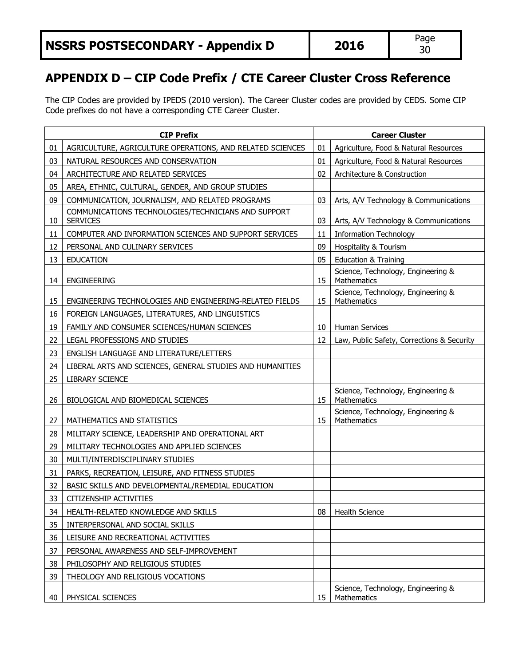# <span id="page-31-0"></span>**APPENDIX D – CIP Code Prefix / CTE Career Cluster Cross Reference**

The CIP Codes are provided by IPEDS (2010 version). The Career Cluster codes are provided by CEDS. Some CIP Code prefixes do not have a corresponding CTE Career Cluster.

| <b>CIP Prefix</b> |                                                                        |    | <b>Career Cluster</b>                             |  |
|-------------------|------------------------------------------------------------------------|----|---------------------------------------------------|--|
| 01                | AGRICULTURE, AGRICULTURE OPERATIONS, AND RELATED SCIENCES              | 01 | Agriculture, Food & Natural Resources             |  |
| 03                | NATURAL RESOURCES AND CONSERVATION                                     | 01 | Agriculture, Food & Natural Resources             |  |
| 04                | ARCHITECTURE AND RELATED SERVICES                                      | 02 | Architecture & Construction                       |  |
| 05                | AREA, ETHNIC, CULTURAL, GENDER, AND GROUP STUDIES                      |    |                                                   |  |
| 09                | COMMUNICATION, JOURNALISM, AND RELATED PROGRAMS                        | 03 | Arts, A/V Technology & Communications             |  |
| 10                | COMMUNICATIONS TECHNOLOGIES/TECHNICIANS AND SUPPORT<br><b>SERVICES</b> | 03 | Arts, A/V Technology & Communications             |  |
| 11                | COMPUTER AND INFORMATION SCIENCES AND SUPPORT SERVICES                 | 11 | <b>Information Technology</b>                     |  |
| 12                | PERSONAL AND CULINARY SERVICES                                         | 09 | Hospitality & Tourism                             |  |
| 13                | <b>EDUCATION</b>                                                       | 05 | <b>Education &amp; Training</b>                   |  |
| 14                | ENGINEERING                                                            | 15 | Science, Technology, Engineering &<br>Mathematics |  |
| 15                | ENGINEERING TECHNOLOGIES AND ENGINEERING-RELATED FIELDS                | 15 | Science, Technology, Engineering &<br>Mathematics |  |
| 16                | FOREIGN LANGUAGES, LITERATURES, AND LINGUISTICS                        |    |                                                   |  |
| 19                | FAMILY AND CONSUMER SCIENCES/HUMAN SCIENCES                            | 10 | <b>Human Services</b>                             |  |
| 22                | LEGAL PROFESSIONS AND STUDIES                                          | 12 | Law, Public Safety, Corrections & Security        |  |
| 23                | ENGLISH LANGUAGE AND LITERATURE/LETTERS                                |    |                                                   |  |
| 24                | LIBERAL ARTS AND SCIENCES, GENERAL STUDIES AND HUMANITIES              |    |                                                   |  |
| 25                | <b>LIBRARY SCIENCE</b>                                                 |    |                                                   |  |
| 26                | BIOLOGICAL AND BIOMEDICAL SCIENCES                                     | 15 | Science, Technology, Engineering &<br>Mathematics |  |
| 27                | MATHEMATICS AND STATISTICS                                             | 15 | Science, Technology, Engineering &<br>Mathematics |  |
| 28                | MILITARY SCIENCE, LEADERSHIP AND OPERATIONAL ART                       |    |                                                   |  |
| 29                | MILITARY TECHNOLOGIES AND APPLIED SCIENCES                             |    |                                                   |  |
| 30                | MULTI/INTERDISCIPLINARY STUDIES                                        |    |                                                   |  |
| 31                | PARKS, RECREATION, LEISURE, AND FITNESS STUDIES                        |    |                                                   |  |
| 32                | BASIC SKILLS AND DEVELOPMENTAL/REMEDIAL EDUCATION                      |    |                                                   |  |
| 33                | <b>CITIZENSHIP ACTIVITIES</b>                                          |    |                                                   |  |
| 34                | HEALTH-RELATED KNOWLEDGE AND SKILLS                                    | 08 | <b>Health Science</b>                             |  |
| 35                | INTERPERSONAL AND SOCIAL SKILLS                                        |    |                                                   |  |
| 36                | LEISURE AND RECREATIONAL ACTIVITIES                                    |    |                                                   |  |
| 37                | PERSONAL AWARENESS AND SELF-IMPROVEMENT                                |    |                                                   |  |
| 38                | PHILOSOPHY AND RELIGIOUS STUDIES                                       |    |                                                   |  |
| 39                | THEOLOGY AND RELIGIOUS VOCATIONS                                       |    |                                                   |  |
| 40                | PHYSICAL SCIENCES                                                      | 15 | Science, Technology, Engineering &<br>Mathematics |  |